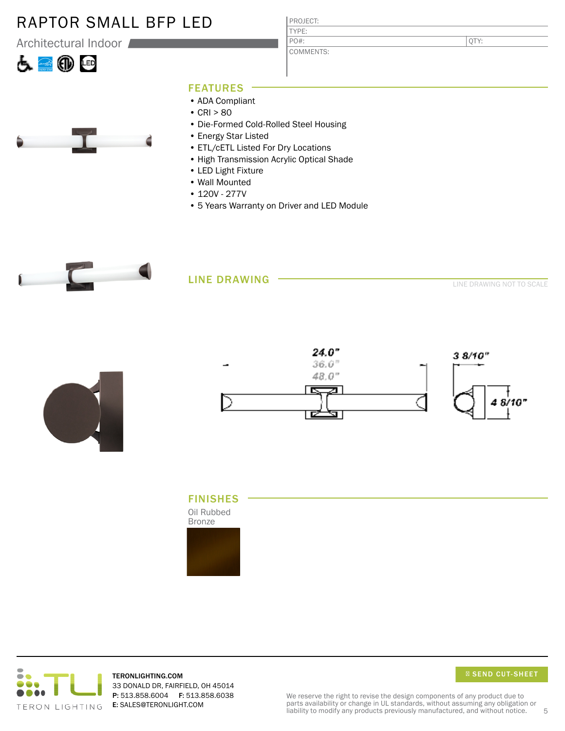## RAPTOR SMALL BFP LED

Architectural Indoor





PROJECT: TYPE: COMMENTS: PO#:

QTY:

## FEATURES

- ADA Compliant
- CRI > 80
- Die-Formed Cold-Rolled Steel Housing
- Energy Star Listed
- ETL/cETL Listed For Dry Locations
- High Transmission Acrylic Optical Shade
- LED Light Fixture
- Wall Mounted
- 120V 277V
- 5 Years Warranty on Driver and LED Module



## LINE DRAWING

LINE DRAWING NOT TO SCALE











TERONLIGHTING.COM 33 DONALD DR, FAIRFIELD, OH 45014 P: 513.858.6004 F: 513.858.6038 E: SALES@TERONLIGHT.COM

SEND CUT-SHEET

We reserve the right to revise the design components of any product due to parts availability or change in UL standards, without assuming any obligation or liability to modify any products previously manufactured, and without notice. 5